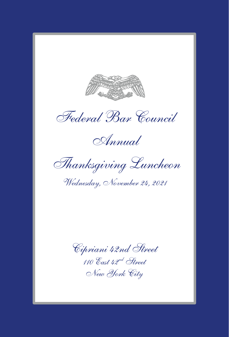

*Federal Bar Council*

*Annual*

*Thanksgiving Luncheon*

*Wednesday, November 24, 2021*

*Cipriani 42nd Street 110 East 42nd Street New York City*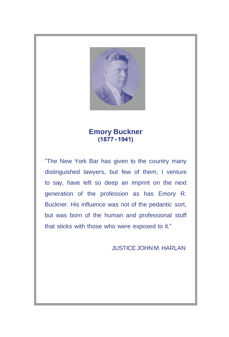

# **Emory Buckner**

"The New York Bar has given to the country many distinguished lawyers, but few of them, I venture to say, have left so deep an imprint on the next generation of the profession as has Emory R. Buckner. His influence was not of the pedantic sort, but was born of the human and professional stuff that sticks with those who were exposed to it."

**JUSTICE JOHN M. HARLAN**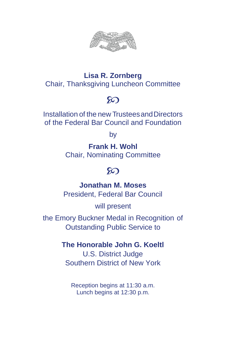

### **Lisa R. Zornberg** Chair, Thanksgiving Luncheon Committee

# $\infty$

Installation of the new TrusteesandDirectors of the Federal Bar Council and Foundation

by

**Frank H. Wohl** Chair, Nominating Committee

# $\infty$

**Jonathan M. Moses** President, Federal Bar Council

will present

the Emory Buckner Medal in Recognition of Outstanding Public Service to

#### **The Honorable John G. Koeltl**

U.S. District Judge Southern District of New York

Reception begins at 11:30 a.m. Lunch begins at 12:30 p.m.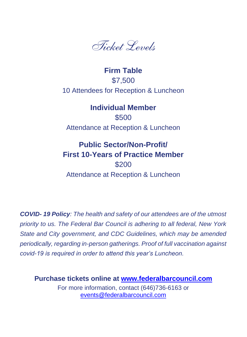

### **Firm Table** \$7,500 10 Attendees for Reception & Luncheon

**Individual Member** \$500 Attendance at Reception & Luncheon

## **Public Sector/Non-Profit/ First 10-Years of Practice Member** \$200 Attendance at Reception & Luncheon

*COVID- 19 Policy: The health and safety of our attendees are of the utmost priority to us. The Federal Bar Council is adhering to all federal, New York State and City government, and CDC Guidelines, which may be amended periodically, regarding in-person gatherings. Proof of full vaccination against covid-19 is required in order to attend this year's Luncheon.*

**Purchase tickets online at [www.federalbarcouncil.com](https://fbc.users.membersuite.com/events/a5720928-0078-cf27-d948-2f4c75a06574/details)**

For more information, contact (646)736-6163 or [events@federalbarcouncil.com](mailto:events@federalbarcouncil.com)